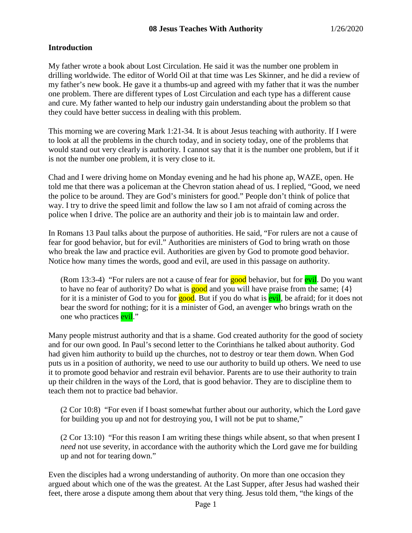### **Introduction**

My father wrote a book about Lost Circulation. He said it was the number one problem in drilling worldwide. The editor of World Oil at that time was Les Skinner, and he did a review of my father's new book. He gave it a thumbs-up and agreed with my father that it was the number one problem. There are different types of Lost Circulation and each type has a different cause and cure. My father wanted to help our industry gain understanding about the problem so that they could have better success in dealing with this problem.

This morning we are covering Mark 1:21-34. It is about Jesus teaching with authority. If I were to look at all the problems in the church today, and in society today, one of the problems that would stand out very clearly is authority. I cannot say that it is the number one problem, but if it is not the number one problem, it is very close to it.

Chad and I were driving home on Monday evening and he had his phone ap, WAZE, open. He told me that there was a policeman at the Chevron station ahead of us. I replied, "Good, we need the police to be around. They are God's ministers for good." People don't think of police that way. I try to drive the speed limit and follow the law so I am not afraid of coming across the police when I drive. The police are an authority and their job is to maintain law and order.

In Romans 13 Paul talks about the purpose of authorities. He said, "For rulers are not a cause of fear for good behavior, but for evil." Authorities are ministers of God to bring wrath on those who break the law and practice evil. Authorities are given by God to promote good behavior. Notice how many times the words, good and evil, are used in this passage on authority.

(Rom 13:3-4) "For rulers are not a cause of fear for good behavior, but for evil. Do you want to have no fear of authority? Do what is  $\frac{p}{q}$  and you will have praise from the same;  $\{4\}$ for it is a minister of God to you for **good**. But if you do what is **evil**, be afraid; for it does not bear the sword for nothing; for it is a minister of God, an avenger who brings wrath on the one who practices **evil**."

Many people mistrust authority and that is a shame. God created authority for the good of society and for our own good. In Paul's second letter to the Corinthians he talked about authority. God had given him authority to build up the churches, not to destroy or tear them down. When God puts us in a position of authority, we need to use our authority to build up others. We need to use it to promote good behavior and restrain evil behavior. Parents are to use their authority to train up their children in the ways of the Lord, that is good behavior. They are to discipline them to teach them not to practice bad behavior.

(2 Cor 10:8) "For even if I boast somewhat further about our authority, which the Lord gave for building you up and not for destroying you, I will not be put to shame,"

(2 Cor 13:10) "For this reason I am writing these things while absent, so that when present I *need* not use severity, in accordance with the authority which the Lord gave me for building up and not for tearing down."

Even the disciples had a wrong understanding of authority. On more than one occasion they argued about which one of the was the greatest. At the Last Supper, after Jesus had washed their feet, there arose a dispute among them about that very thing. Jesus told them, "the kings of the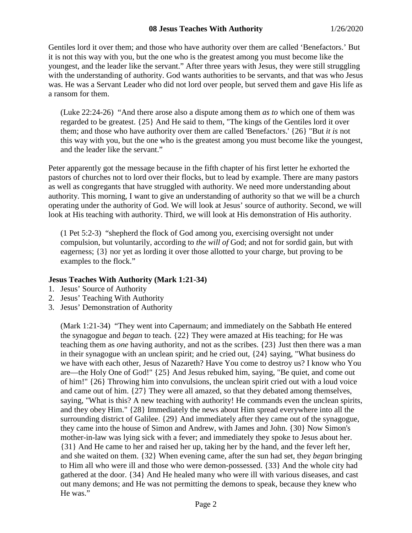Gentiles lord it over them; and those who have authority over them are called 'Benefactors.' But it is not this way with you, but the one who is the greatest among you must become like the youngest, and the leader like the servant." After three years with Jesus, they were still struggling with the understanding of authority. God wants authorities to be servants, and that was who Jesus was. He was a Servant Leader who did not lord over people, but served them and gave His life as a ransom for them.

(Luke 22:24-26) "And there arose also a dispute among them *as to* which one of them was regarded to be greatest. {25} And He said to them, "The kings of the Gentiles lord it over them; and those who have authority over them are called 'Benefactors.' {26} "But *it is* not this way with you, but the one who is the greatest among you must become like the youngest, and the leader like the servant."

Peter apparently got the message because in the fifth chapter of his first letter he exhorted the pastors of churches not to lord over their flocks, but to lead by example. There are many pastors as well as congregants that have struggled with authority. We need more understanding about authority. This morning, I want to give an understanding of authority so that we will be a church operating under the authority of God. We will look at Jesus' source of authority. Second, we will look at His teaching with authority. Third, we will look at His demonstration of His authority.

(1 Pet 5:2-3) "shepherd the flock of God among you, exercising oversight not under compulsion, but voluntarily, according to *the will of* God; and not for sordid gain, but with eagerness; {3} nor yet as lording it over those allotted to your charge, but proving to be examples to the flock."

## **Jesus Teaches With Authority (Mark 1:21-34)**

- 1. Jesus' Source of Authority
- 2. Jesus' Teaching With Authority
- 3. Jesus' Demonstration of Authority

(Mark 1:21-34) "They went into Capernaum; and immediately on the Sabbath He entered the synagogue and *began* to teach. {22} They were amazed at His teaching; for He was teaching them as *one* having authority, and not as the scribes. {23} Just then there was a man in their synagogue with an unclean spirit; and he cried out, {24} saying, "What business do we have with each other, Jesus of Nazareth? Have You come to destroy us? I know who You are—the Holy One of God!" {25} And Jesus rebuked him, saying, "Be quiet, and come out of him!" {26} Throwing him into convulsions, the unclean spirit cried out with a loud voice and came out of him. {27} They were all amazed, so that they debated among themselves, saying, "What is this? A new teaching with authority! He commands even the unclean spirits, and they obey Him." {28} Immediately the news about Him spread everywhere into all the surrounding district of Galilee. {29} And immediately after they came out of the synagogue, they came into the house of Simon and Andrew, with James and John. {30} Now Simon's mother-in-law was lying sick with a fever; and immediately they spoke to Jesus about her. {31} And He came to her and raised her up, taking her by the hand, and the fever left her, and she waited on them. {32} When evening came, after the sun had set, they *began* bringing to Him all who were ill and those who were demon-possessed. {33} And the whole city had gathered at the door. {34} And He healed many who were ill with various diseases, and cast out many demons; and He was not permitting the demons to speak, because they knew who He was."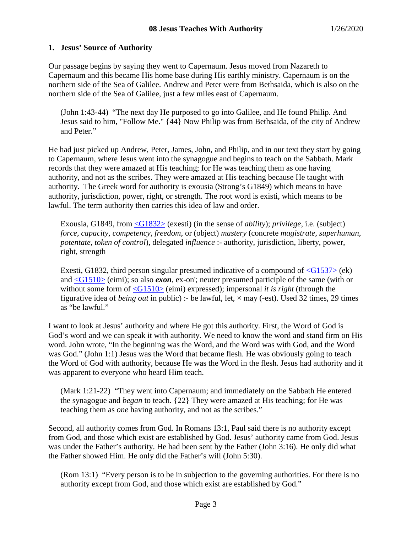# **1. Jesus' Source of Authority**

Our passage begins by saying they went to Capernaum. Jesus moved from Nazareth to Capernaum and this became His home base during His earthly ministry. Capernaum is on the northern side of the Sea of Galilee. Andrew and Peter were from Bethsaida, which is also on the northern side of the Sea of Galilee, just a few miles east of Capernaum.

(John 1:43-44) "The next day He purposed to go into Galilee, and He found Philip. And Jesus said to him, "Follow Me." {44} Now Philip was from Bethsaida, of the city of Andrew and Peter."

He had just picked up Andrew, Peter, James, John, and Philip, and in our text they start by going to Capernaum, where Jesus went into the synagogue and begins to teach on the Sabbath. Mark records that they were amazed at His teaching; for He was teaching them as one having authority, and not as the scribes. They were amazed at His teaching because He taught with authority. The Greek word for authority is exousia (Strong's G1849) which means to have authority, jurisdiction, power, right, or strength. The root word is existi, which means to be lawful. The term authority then carries this idea of law and order.

Exousia, G1849, from [<G1832>](http://www.crossbooks.com/book.asp?strongs=G1832) (exesti) (in the sense of *ability*); *privilege*, i.e. (subject) *force, capacity, competency, freedom*, or (object) *mastery* (concrete *magistrate, superhuman, potentate, token of control*), delegated *influence* :- authority, jurisdiction, liberty, power, right, strength

Exesti, G1832, third person singular presumed indicative of a compound of  $\langle$ G1537 $\rangle$  (ek) and [<G1510>](http://www.crossbooks.com/book.asp?strongs=G1510) (eimi); so also *exon*, ex-on'; neuter presumed participle of the same (with or without some form of  $\langle$ G1510 $\rangle$  (eimi) expressed); impersonal *it is right* (through the figurative idea of *being out* in public) :- be lawful, let, × may (-est). Used 32 times, 29 times as "be lawful."

I want to look at Jesus' authority and where He got this authority. First, the Word of God is God's word and we can speak it with authority. We need to know the word and stand firm on His word. John wrote, "In the beginning was the Word, and the Word was with God, and the Word was God." (John 1:1) Jesus was the Word that became flesh. He was obviously going to teach the Word of God with authority, because He was the Word in the flesh. Jesus had authority and it was apparent to everyone who heard Him teach.

(Mark 1:21-22) "They went into Capernaum; and immediately on the Sabbath He entered the synagogue and *began* to teach. {22} They were amazed at His teaching; for He was teaching them as *one* having authority, and not as the scribes."

Second, all authority comes from God. In Romans 13:1, Paul said there is no authority except from God, and those which exist are established by God. Jesus' authority came from God. Jesus was under the Father's authority. He had been sent by the Father (John 3:16). He only did what the Father showed Him. He only did the Father's will (John 5:30).

(Rom 13:1) "Every person is to be in subjection to the governing authorities. For there is no authority except from God, and those which exist are established by God."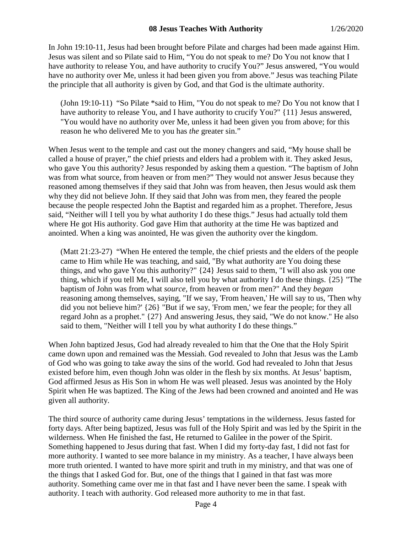In John 19:10-11, Jesus had been brought before Pilate and charges had been made against Him. Jesus was silent and so Pilate said to Him, "You do not speak to me? Do You not know that I have authority to release You, and have authority to crucify You?" Jesus answered, "You would have no authority over Me, unless it had been given you from above." Jesus was teaching Pilate the principle that all authority is given by God, and that God is the ultimate authority.

(John 19:10-11) "So Pilate \*said to Him, "You do not speak to me? Do You not know that I have authority to release You, and I have authority to crucify You?" {11} Jesus answered, "You would have no authority over Me, unless it had been given you from above; for this reason he who delivered Me to you has *the* greater sin."

When Jesus went to the temple and cast out the money changers and said, "My house shall be called a house of prayer," the chief priests and elders had a problem with it. They asked Jesus, who gave You this authority? Jesus responded by asking them a question. "The baptism of John was from what source, from heaven or from men?" They would not answer Jesus because they reasoned among themselves if they said that John was from heaven, then Jesus would ask them why they did not believe John. If they said that John was from men, they feared the people because the people respected John the Baptist and regarded him as a prophet. Therefore, Jesus said, "Neither will I tell you by what authority I do these thigs." Jesus had actually told them where He got His authority. God gave Him that authority at the time He was baptized and anointed. When a king was anointed, He was given the authority over the kingdom.

(Matt 21:23-27) "When He entered the temple, the chief priests and the elders of the people came to Him while He was teaching, and said, "By what authority are You doing these things, and who gave You this authority?" {24} Jesus said to them, "I will also ask you one thing, which if you tell Me, I will also tell you by what authority I do these things. {25} "The baptism of John was from what *source,* from heaven or from men?" And they *began* reasoning among themselves, saying, "If we say, 'From heaven,' He will say to us, 'Then why did you not believe him?' {26} "But if we say, 'From men,' we fear the people; for they all regard John as a prophet." {27} And answering Jesus, they said, "We do not know." He also said to them, "Neither will I tell you by what authority I do these things."

When John baptized Jesus, God had already revealed to him that the One that the Holy Spirit came down upon and remained was the Messiah. God revealed to John that Jesus was the Lamb of God who was going to take away the sins of the world. God had revealed to John that Jesus existed before him, even though John was older in the flesh by six months. At Jesus' baptism, God affirmed Jesus as His Son in whom He was well pleased. Jesus was anointed by the Holy Spirit when He was baptized. The King of the Jews had been crowned and anointed and He was given all authority.

The third source of authority came during Jesus' temptations in the wilderness. Jesus fasted for forty days. After being baptized, Jesus was full of the Holy Spirit and was led by the Spirit in the wilderness. When He finished the fast, He returned to Galilee in the power of the Spirit. Something happened to Jesus during that fast. When I did my forty-day fast, I did not fast for more authority. I wanted to see more balance in my ministry. As a teacher, I have always been more truth oriented. I wanted to have more spirit and truth in my ministry, and that was one of the things that I asked God for. But, one of the things that I gained in that fast was more authority. Something came over me in that fast and I have never been the same. I speak with authority. I teach with authority. God released more authority to me in that fast.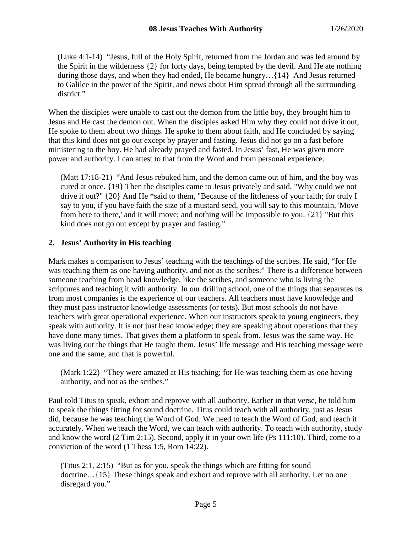(Luke 4:1-14) "Jesus, full of the Holy Spirit, returned from the Jordan and was led around by the Spirit in the wilderness {2} for forty days, being tempted by the devil. And He ate nothing during those days, and when they had ended, He became hungry…{14} And Jesus returned to Galilee in the power of the Spirit, and news about Him spread through all the surrounding district."

When the disciples were unable to cast out the demon from the little boy, they brought him to Jesus and He cast the demon out. When the disciples asked Him why they could not drive it out, He spoke to them about two things. He spoke to them about faith, and He concluded by saying that this kind does not go out except by prayer and fasting. Jesus did not go on a fast before ministering to the boy. He had already prayed and fasted. In Jesus' fast, He was given more power and authority. I can attest to that from the Word and from personal experience.

(Matt 17:18-21) "And Jesus rebuked him, and the demon came out of him, and the boy was cured at once. {19} Then the disciples came to Jesus privately and said, "Why could we not drive it out?" {20} And He \*said to them, "Because of the littleness of your faith; for truly I say to you, if you have faith the size of a mustard seed, you will say to this mountain, 'Move from here to there,' and it will move; and nothing will be impossible to you. {21} "But this kind does not go out except by prayer and fasting."

### **2. Jesus' Authority in His teaching**

Mark makes a comparison to Jesus' teaching with the teachings of the scribes. He said, "for He was teaching them as one having authority, and not as the scribes." There is a difference between someone teaching from head knowledge, like the scribes, and someone who is living the scriptures and teaching it with authority. In our drilling school, one of the things that separates us from most companies is the experience of our teachers. All teachers must have knowledge and they must pass instructor knowledge assessments (or tests). But most schools do not have teachers with great operational experience. When our instructors speak to young engineers, they speak with authority. It is not just head knowledge; they are speaking about operations that they have done many times. That gives them a platform to speak from. Jesus was the same way. He was living out the things that He taught them. Jesus' life message and His teaching message were one and the same, and that is powerful.

(Mark 1:22) "They were amazed at His teaching; for He was teaching them as *one* having authority, and not as the scribes."

Paul told Titus to speak, exhort and reprove with all authority. Earlier in that verse, he told him to speak the things fitting for sound doctrine. Titus could teach with all authority, just as Jesus did, because he was teaching the Word of God. We need to teach the Word of God, and teach it accurately. When we teach the Word, we can teach with authority. To teach with authority, study and know the word (2 Tim 2:15). Second, apply it in your own life (Ps 111:10). Third, come to a conviction of the word (1 Thess 1:5, Rom 14:22).

(Titus 2:1, 2:15) "But as for you, speak the things which are fitting for sound doctrine…{15} These things speak and exhort and reprove with all authority. Let no one disregard you."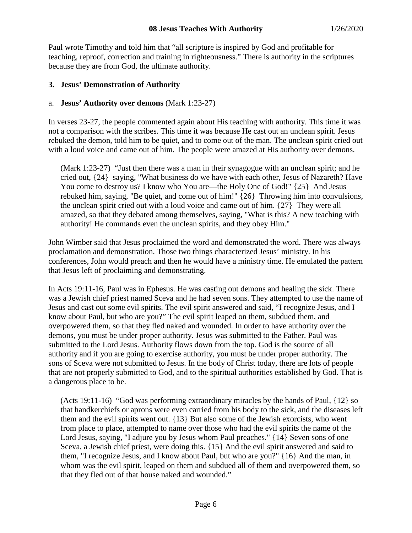Paul wrote Timothy and told him that "all scripture is inspired by God and profitable for teaching, reproof, correction and training in righteousness." There is authority in the scriptures because they are from God, the ultimate authority.

## **3. Jesus' Demonstration of Authority**

### a. **Jesus' Authority over demons** (Mark 1:23-27)

In verses 23-27, the people commented again about His teaching with authority. This time it was not a comparison with the scribes. This time it was because He cast out an unclean spirit. Jesus rebuked the demon, told him to be quiet, and to come out of the man. The unclean spirit cried out with a loud voice and came out of him. The people were amazed at His authority over demons.

(Mark 1:23-27) "Just then there was a man in their synagogue with an unclean spirit; and he cried out, {24} saying, "What business do we have with each other, Jesus of Nazareth? Have You come to destroy us? I know who You are—the Holy One of God!"  $\{25\}$  And Jesus rebuked him, saying, "Be quiet, and come out of him!" {26} Throwing him into convulsions, the unclean spirit cried out with a loud voice and came out of him. {27} They were all amazed, so that they debated among themselves, saying, "What is this? A new teaching with authority! He commands even the unclean spirits, and they obey Him."

John Wimber said that Jesus proclaimed the word and demonstrated the word. There was always proclamation and demonstration. Those two things characterized Jesus' ministry. In his conferences, John would preach and then he would have a ministry time. He emulated the pattern that Jesus left of proclaiming and demonstrating.

In Acts 19:11-16, Paul was in Ephesus. He was casting out demons and healing the sick. There was a Jewish chief priest named Sceva and he had seven sons. They attempted to use the name of Jesus and cast out some evil spirits. The evil spirit answered and said, "I recognize Jesus, and I know about Paul, but who are you?" The evil spirit leaped on them, subdued them, and overpowered them, so that they fled naked and wounded. In order to have authority over the demons, you must be under proper authority. Jesus was submitted to the Father. Paul was submitted to the Lord Jesus. Authority flows down from the top. God is the source of all authority and if you are going to exercise authority, you must be under proper authority. The sons of Sceva were not submitted to Jesus. In the body of Christ today, there are lots of people that are not properly submitted to God, and to the spiritual authorities established by God. That is a dangerous place to be.

(Acts 19:11-16) "God was performing extraordinary miracles by the hands of Paul, {12} so that handkerchiefs or aprons were even carried from his body to the sick, and the diseases left them and the evil spirits went out. {13} But also some of the Jewish exorcists, who went from place to place, attempted to name over those who had the evil spirits the name of the Lord Jesus, saying, "I adjure you by Jesus whom Paul preaches." {14} Seven sons of one Sceva, a Jewish chief priest, were doing this. {15} And the evil spirit answered and said to them, "I recognize Jesus, and I know about Paul, but who are you?" {16} And the man, in whom was the evil spirit, leaped on them and subdued all of them and overpowered them, so that they fled out of that house naked and wounded."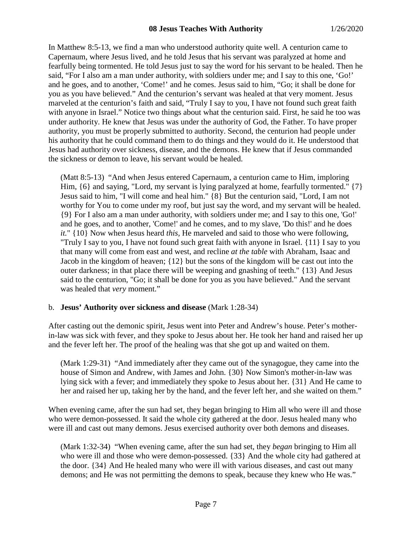In Matthew 8:5-13, we find a man who understood authority quite well. A centurion came to Capernaum, where Jesus lived, and he told Jesus that his servant was paralyzed at home and fearfully being tormented. He told Jesus just to say the word for his servant to be healed. Then he said, "For I also am a man under authority, with soldiers under me; and I say to this one, 'Go!' and he goes, and to another, 'Come!' and he comes. Jesus said to him, "Go; it shall be done for you as you have believed." And the centurion's servant was healed at that very moment. Jesus marveled at the centurion's faith and said, "Truly I say to you, I have not found such great faith with anyone in Israel." Notice two things about what the centurion said. First, he said he too was under authority. He knew that Jesus was under the authority of God, the Father. To have proper authority, you must be properly submitted to authority. Second, the centurion had people under his authority that he could command them to do things and they would do it. He understood that Jesus had authority over sickness, disease, and the demons. He knew that if Jesus commanded the sickness or demon to leave, his servant would be healed.

(Matt 8:5-13) "And when Jesus entered Capernaum, a centurion came to Him, imploring Him,  $\{6\}$  and saying, "Lord, my servant is lying paralyzed at home, fearfully tormented."  $\{7\}$ Jesus said to him, "I will come and heal him." {8} But the centurion said, "Lord, I am not worthy for You to come under my roof, but just say the word, and my servant will be healed. {9} For I also am a man under authority, with soldiers under me; and I say to this one, 'Go!' and he goes, and to another, 'Come!' and he comes, and to my slave, 'Do this!' and he does *it.*" {10} Now when Jesus heard *this,* He marveled and said to those who were following, "Truly I say to you, I have not found such great faith with anyone in Israel. {11} I say to you that many will come from east and west, and recline *at the table* with Abraham, Isaac and Jacob in the kingdom of heaven; {12} but the sons of the kingdom will be cast out into the outer darkness; in that place there will be weeping and gnashing of teeth." {13} And Jesus said to the centurion, "Go; it shall be done for you as you have believed." And the servant was healed that *very* moment."

## b. **Jesus' Authority over sickness and disease** (Mark 1:28-34)

After casting out the demonic spirit, Jesus went into Peter and Andrew's house. Peter's motherin-law was sick with fever, and they spoke to Jesus about her. He took her hand and raised her up and the fever left her. The proof of the healing was that she got up and waited on them.

(Mark 1:29-31) "And immediately after they came out of the synagogue, they came into the house of Simon and Andrew, with James and John. {30} Now Simon's mother-in-law was lying sick with a fever; and immediately they spoke to Jesus about her. {31} And He came to her and raised her up, taking her by the hand, and the fever left her, and she waited on them."

When evening came, after the sun had set, they began bringing to Him all who were ill and those who were demon-possessed. It said the whole city gathered at the door. Jesus healed many who were ill and cast out many demons. Jesus exercised authority over both demons and diseases.

(Mark 1:32-34) "When evening came, after the sun had set, they *began* bringing to Him all who were ill and those who were demon-possessed. {33} And the whole city had gathered at the door. {34} And He healed many who were ill with various diseases, and cast out many demons; and He was not permitting the demons to speak, because they knew who He was."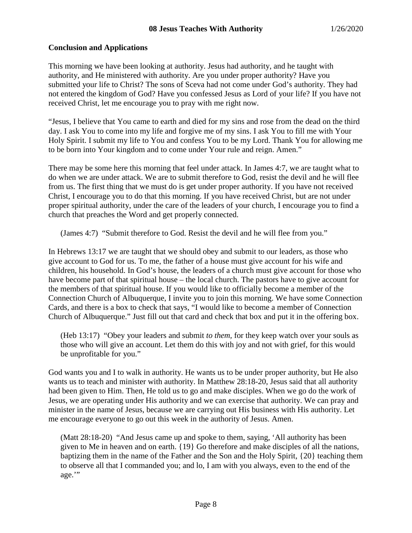# **Conclusion and Applications**

This morning we have been looking at authority. Jesus had authority, and he taught with authority, and He ministered with authority. Are you under proper authority? Have you submitted your life to Christ? The sons of Sceva had not come under God's authority. They had not entered the kingdom of God? Have you confessed Jesus as Lord of your life? If you have not received Christ, let me encourage you to pray with me right now.

"Jesus, I believe that You came to earth and died for my sins and rose from the dead on the third day. I ask You to come into my life and forgive me of my sins. I ask You to fill me with Your Holy Spirit. I submit my life to You and confess You to be my Lord. Thank You for allowing me to be born into Your kingdom and to come under Your rule and reign. Amen."

There may be some here this morning that feel under attack. In James 4:7, we are taught what to do when we are under attack. We are to submit therefore to God, resist the devil and he will flee from us. The first thing that we must do is get under proper authority. If you have not received Christ, I encourage you to do that this morning. If you have received Christ, but are not under proper spiritual authority, under the care of the leaders of your church, I encourage you to find a church that preaches the Word and get properly connected.

(James 4:7) "Submit therefore to God. Resist the devil and he will flee from you."

In Hebrews 13:17 we are taught that we should obey and submit to our leaders, as those who give account to God for us. To me, the father of a house must give account for his wife and children, his household. In God's house, the leaders of a church must give account for those who have become part of that spiritual house – the local church. The pastors have to give account for the members of that spiritual house. If you would like to officially become a member of the Connection Church of Albuquerque, I invite you to join this morning. We have some Connection Cards, and there is a box to check that says, "I would like to become a member of Connection Church of Albuquerque." Just fill out that card and check that box and put it in the offering box.

(Heb 13:17) "Obey your leaders and submit *to them,* for they keep watch over your souls as those who will give an account. Let them do this with joy and not with grief, for this would be unprofitable for you."

God wants you and I to walk in authority. He wants us to be under proper authority, but He also wants us to teach and minister with authority. In Matthew 28:18-20, Jesus said that all authority had been given to Him. Then, He told us to go and make disciples. When we go do the work of Jesus, we are operating under His authority and we can exercise that authority. We can pray and minister in the name of Jesus, because we are carrying out His business with His authority. Let me encourage everyone to go out this week in the authority of Jesus. Amen.

(Matt 28:18-20) "And Jesus came up and spoke to them, saying, 'All authority has been given to Me in heaven and on earth. {19} Go therefore and make disciples of all the nations, baptizing them in the name of the Father and the Son and the Holy Spirit, {20} teaching them to observe all that I commanded you; and lo, I am with you always, even to the end of the age.'"